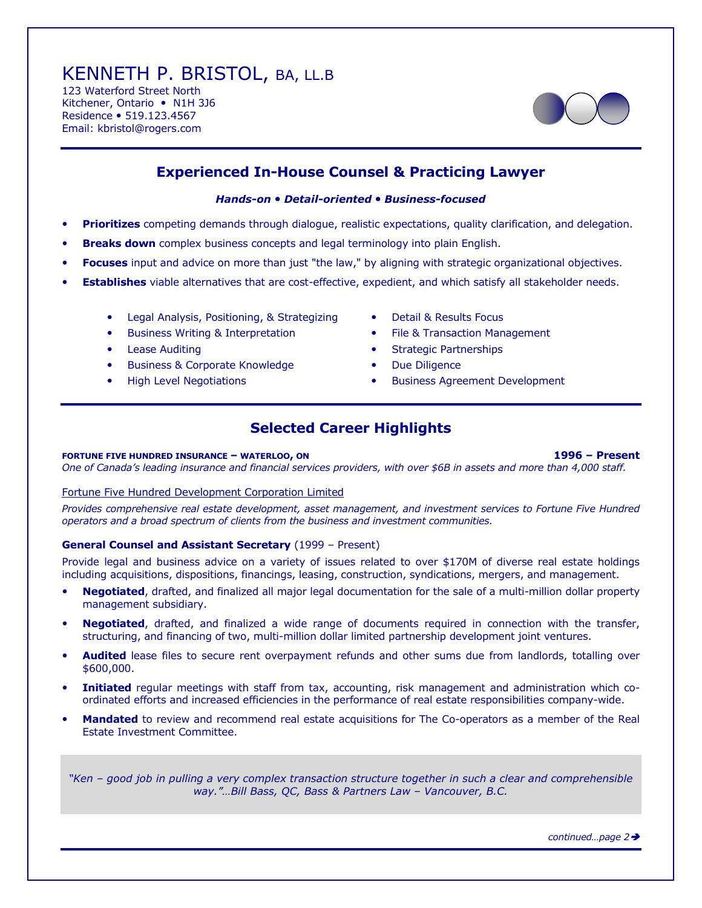# KENNETH P. BRISTOL, BA, LL.B

123 Waterford Street North Kitchener, Ontario • N1H 3J6 Residence • 519.123.4567 Email: kbristol@rogers.com

## Experienced In-House Counsel & Practicing Lawyer

## Hands-on • Detail-oriented • Business-focused

- **Prioritizes** competing demands through dialogue, realistic expectations, quality clarification, and delegation.
- **Breaks down** complex business concepts and legal terminology into plain English.
- Focuses input and advice on more than just "the law," by aligning with strategic organizational objectives.
- Establishes viable alternatives that are cost-effective, expedient, and which satisfy all stakeholder needs.
	- Legal Analysis, Positioning, & Strategizing Detail & Results Focus
	-
	-
	- Business & Corporate Knowledge Due Diligence
	-
- 
- Business Writing & Interpretation **Conserversity Conserversity** File & Transaction Management
- Lease Auditing **Strategic Partnerships Strategic Partnerships** 
	-
- High Level Negotiations **Business Agreement Development**

## Selected Career Highlights

#### FORTUNE FIVE HUNDRED INSURANCE – WATERLOO, ON **1996 – Present**

One of Canada's leading insurance and financial services providers, with over \$6B in assets and more than 4,000 staff.

#### Fortune Five Hundred Development Corporation Limited

Provides comprehensive real estate development, asset management, and investment services to Fortune Five Hundred operators and a broad spectrum of clients from the business and investment communities.

### General Counsel and Assistant Secretary (1999 – Present)

Provide legal and business advice on a variety of issues related to over \$170M of diverse real estate holdings including acquisitions, dispositions, financings, leasing, construction, syndications, mergers, and management.

- Negotiated, drafted, and finalized all major legal documentation for the sale of a multi-million dollar property management subsidiary.
- Negotiated, drafted, and finalized a wide range of documents required in connection with the transfer, structuring, and financing of two, multi-million dollar limited partnership development joint ventures.
- Audited lease files to secure rent overpayment refunds and other sums due from landlords, totalling over \$600,000.
- Initiated regular meetings with staff from tax, accounting, risk management and administration which coordinated efforts and increased efficiencies in the performance of real estate responsibilities company-wide.
- Mandated to review and recommend real estate acquisitions for The Co-operators as a member of the Real Estate Investment Committee.

"Ken – good job in pulling a very complex transaction structure together in such a clear and comprehensible way."…Bill Bass, QC, Bass & Partners Law – Vancouver, B.C.

continued...page 2→

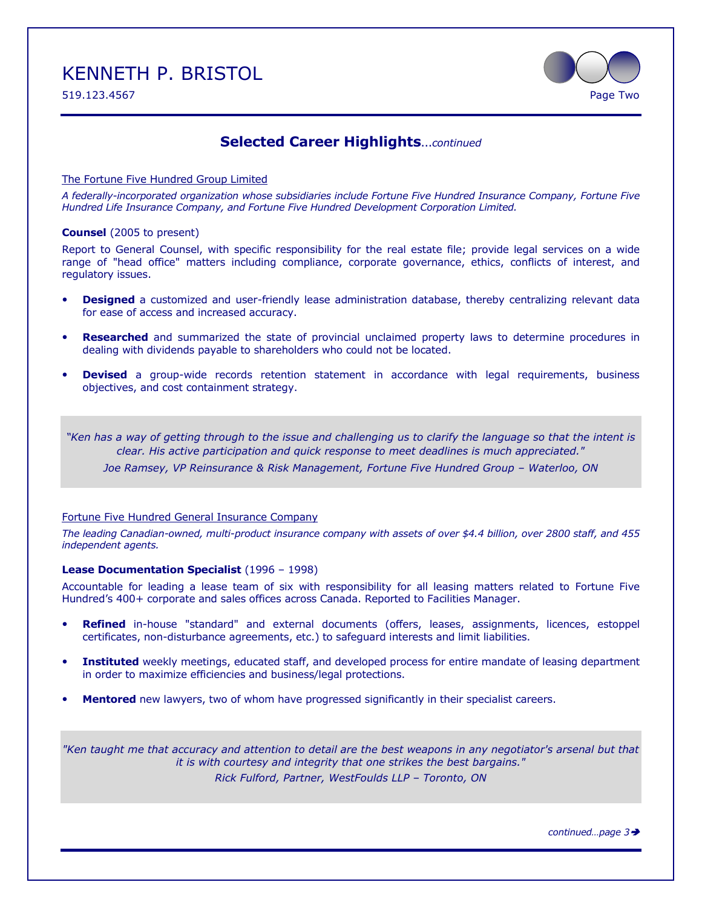# KENNETH P. BRISTOL



## **Selected Career Highlights...continued**

#### The Fortune Five Hundred Group Limited

A federally-incorporated organization whose subsidiaries include Fortune Five Hundred Insurance Company, Fortune Five Hundred Life Insurance Company, and Fortune Five Hundred Development Corporation Limited.

#### Counsel (2005 to present)

Report to General Counsel, with specific responsibility for the real estate file; provide legal services on a wide range of "head office" matters including compliance, corporate governance, ethics, conflicts of interest, and regulatory issues.

- **Designed** a customized and user-friendly lease administration database, thereby centralizing relevant data for ease of access and increased accuracy.
- **Researched** and summarized the state of provincial unclaimed property laws to determine procedures in dealing with dividends payable to shareholders who could not be located.
- **Devised** a group-wide records retention statement in accordance with legal requirements, business objectives, and cost containment strategy.

"Ken has a way of getting through to the issue and challenging us to clarify the language so that the intent is clear. His active participation and quick response to meet deadlines is much appreciated."

Joe Ramsey, VP Reinsurance & Risk Management, Fortune Five Hundred Group – Waterloo, ON

### Fortune Five Hundred General Insurance Company

The leading Canadian-owned, multi-product insurance company with assets of over \$4.4 billion, over 2800 staff, and 455 independent agents.

#### Lease Documentation Specialist (1996 – 1998)

Accountable for leading a lease team of six with responsibility for all leasing matters related to Fortune Five Hundred's 400+ corporate and sales offices across Canada. Reported to Facilities Manager.

- Refined in-house "standard" and external documents (offers, leases, assignments, licences, estoppel certificates, non-disturbance agreements, etc.) to safeguard interests and limit liabilities.
- Instituted weekly meetings, educated staff, and developed process for entire mandate of leasing department in order to maximize efficiencies and business/legal protections.
- Mentored new lawyers, two of whom have progressed significantly in their specialist careers.

"Ken taught me that accuracy and attention to detail are the best weapons in any negotiator's arsenal but that it is with courtesy and integrity that one strikes the best bargains." Rick Fulford, Partner, WestFoulds LLP – Toronto, ON

continued...page 3→